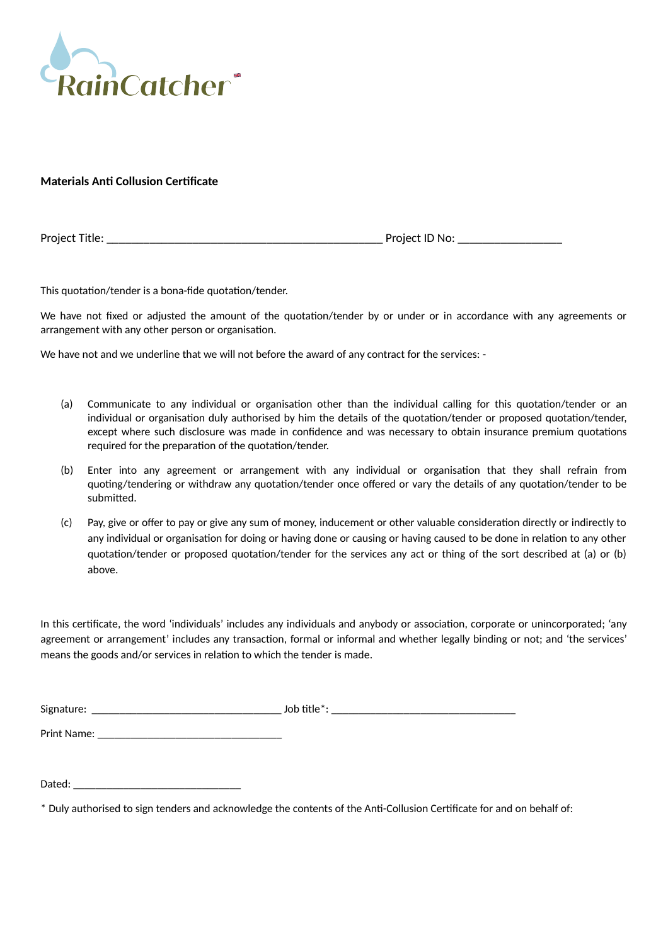

**Materials Anti Collusion Certificate**

Project Title: \_\_\_\_\_\_\_\_\_\_\_\_\_\_\_\_\_\_\_\_\_\_\_\_\_\_\_\_\_\_\_\_\_\_\_\_\_\_\_\_\_\_\_\_\_ Project ID No: \_\_\_\_\_\_\_\_\_\_\_\_\_\_\_\_\_

This quotation/tender is a bona-fide quotation/tender.

We have not fixed or adjusted the amount of the quotation/tender by or under or in accordance with any agreements or arrangement with any other person or organisation.

We have not and we underline that we will not before the award of any contract for the services: -

- (a) Communicate to any individual or organisation other than the individual calling for this quotation/tender or an individual or organisation duly authorised by him the details of the quotation/tender or proposed quotation/tender, except where such disclosure was made in confidence and was necessary to obtain insurance premium quotations required for the preparation of the quotation/tender.
- (b) Enter into any agreement or arrangement with any individual or organisation that they shall refrain from quoting/tendering or withdraw any quotation/tender once offered or vary the details of any quotation/tender to be submitted.
- (c) Pay, give or offer to pay or give any sum of money, inducement or other valuable consideration directly or indirectly to any individual or organisation for doing or having done or causing or having caused to be done in relation to any other quotation/tender or proposed quotation/tender for the services any act or thing of the sort described at (a) or (b) above.

In this certificate, the word 'individuals' includes any individuals and anybody or association, corporate or unincorporated; 'any agreement or arrangement' includes any transaction, formal or informal and whether legally binding or not; and 'the services' means the goods and/or services in relation to which the tender is made.

| $\ddot{\phantom{0}}$<br><b>Sigr</b><br><br>. |  |  |
|----------------------------------------------|--|--|
|----------------------------------------------|--|--|

Print Name: \_\_\_\_\_\_\_\_\_\_\_\_\_\_\_\_\_\_\_\_\_\_\_\_\_\_\_\_\_\_\_\_\_

<sup>\*</sup> Duly authorised to sign tenders and acknowledge the contents of the Anti-Collusion Certificate for and on behalf of: